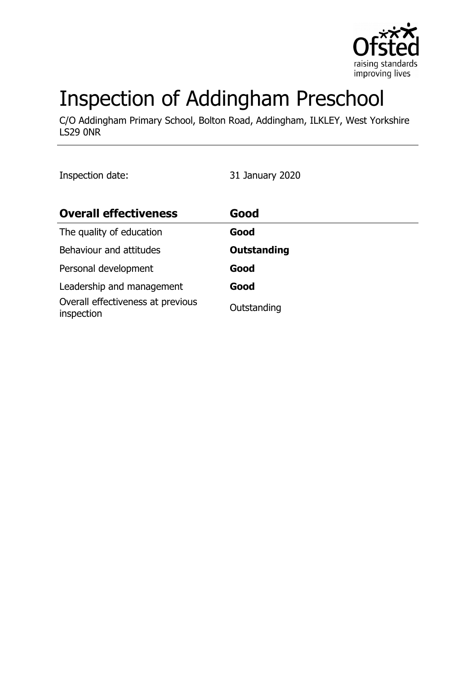

# Inspection of Addingham Preschool

C/O Addingham Primary School, Bolton Road, Addingham, ILKLEY, West Yorkshire LS29 0NR

Inspection date: 31 January 2020

| <b>Overall effectiveness</b>                    | Good               |
|-------------------------------------------------|--------------------|
| The quality of education                        | Good               |
| Behaviour and attitudes                         | <b>Outstanding</b> |
| Personal development                            | Good               |
| Leadership and management                       | Good               |
| Overall effectiveness at previous<br>inspection | Outstanding        |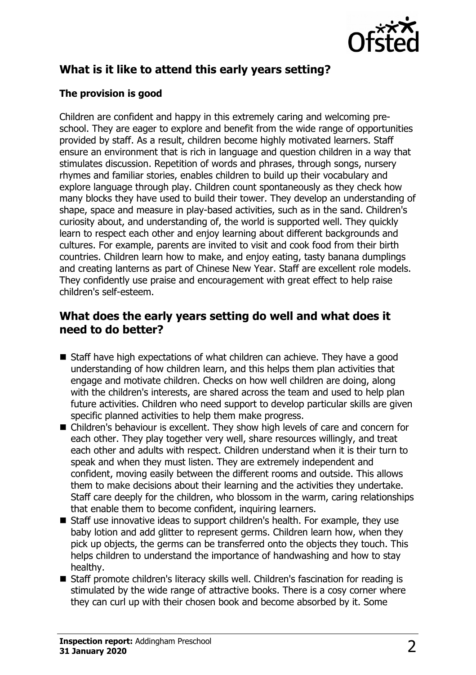

# **What is it like to attend this early years setting?**

#### **The provision is good**

Children are confident and happy in this extremely caring and welcoming preschool. They are eager to explore and benefit from the wide range of opportunities provided by staff. As a result, children become highly motivated learners. Staff ensure an environment that is rich in language and question children in a way that stimulates discussion. Repetition of words and phrases, through songs, nursery rhymes and familiar stories, enables children to build up their vocabulary and explore language through play. Children count spontaneously as they check how many blocks they have used to build their tower. They develop an understanding of shape, space and measure in play-based activities, such as in the sand. Children's curiosity about, and understanding of, the world is supported well. They quickly learn to respect each other and enjoy learning about different backgrounds and cultures. For example, parents are invited to visit and cook food from their birth countries. Children learn how to make, and enjoy eating, tasty banana dumplings and creating lanterns as part of Chinese New Year. Staff are excellent role models. They confidently use praise and encouragement with great effect to help raise children's self-esteem.

### **What does the early years setting do well and what does it need to do better?**

- $\blacksquare$  Staff have high expectations of what children can achieve. They have a good understanding of how children learn, and this helps them plan activities that engage and motivate children. Checks on how well children are doing, along with the children's interests, are shared across the team and used to help plan future activities. Children who need support to develop particular skills are given specific planned activities to help them make progress.
- Children's behaviour is excellent. They show high levels of care and concern for each other. They play together very well, share resources willingly, and treat each other and adults with respect. Children understand when it is their turn to speak and when they must listen. They are extremely independent and confident, moving easily between the different rooms and outside. This allows them to make decisions about their learning and the activities they undertake. Staff care deeply for the children, who blossom in the warm, caring relationships that enable them to become confident, inquiring learners.
- $\blacksquare$  Staff use innovative ideas to support children's health. For example, they use baby lotion and add glitter to represent germs. Children learn how, when they pick up objects, the germs can be transferred onto the objects they touch. This helps children to understand the importance of handwashing and how to stay healthy.
- Staff promote children's literacy skills well. Children's fascination for reading is stimulated by the wide range of attractive books. There is a cosy corner where they can curl up with their chosen book and become absorbed by it. Some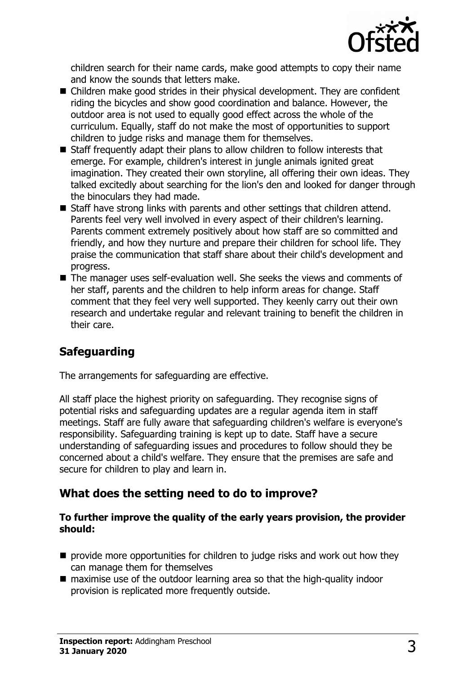

children search for their name cards, make good attempts to copy their name and know the sounds that letters make.

- $\blacksquare$  Children make good strides in their physical development. They are confident riding the bicycles and show good coordination and balance. However, the outdoor area is not used to equally good effect across the whole of the curriculum. Equally, staff do not make the most of opportunities to support children to judge risks and manage them for themselves.
- $\blacksquare$  Staff frequently adapt their plans to allow children to follow interests that emerge. For example, children's interest in jungle animals ignited great imagination. They created their own storyline, all offering their own ideas. They talked excitedly about searching for the lion's den and looked for danger through the binoculars they had made.
- $\blacksquare$  Staff have strong links with parents and other settings that children attend. Parents feel very well involved in every aspect of their children's learning. Parents comment extremely positively about how staff are so committed and friendly, and how they nurture and prepare their children for school life. They praise the communication that staff share about their child's development and progress.
- $\blacksquare$  The manager uses self-evaluation well. She seeks the views and comments of her staff, parents and the children to help inform areas for change. Staff comment that they feel very well supported. They keenly carry out their own research and undertake regular and relevant training to benefit the children in their care.

# **Safeguarding**

The arrangements for safeguarding are effective.

All staff place the highest priority on safeguarding. They recognise signs of potential risks and safeguarding updates are a regular agenda item in staff meetings. Staff are fully aware that safeguarding children's welfare is everyone's responsibility. Safeguarding training is kept up to date. Staff have a secure understanding of safeguarding issues and procedures to follow should they be concerned about a child's welfare. They ensure that the premises are safe and secure for children to play and learn in.

#### **What does the setting need to do to improve?**

#### **To further improve the quality of the early years provision, the provider should:**

- $\blacksquare$  provide more opportunities for children to judge risks and work out how they can manage them for themselves
- $\blacksquare$  maximise use of the outdoor learning area so that the high-quality indoor provision is replicated more frequently outside.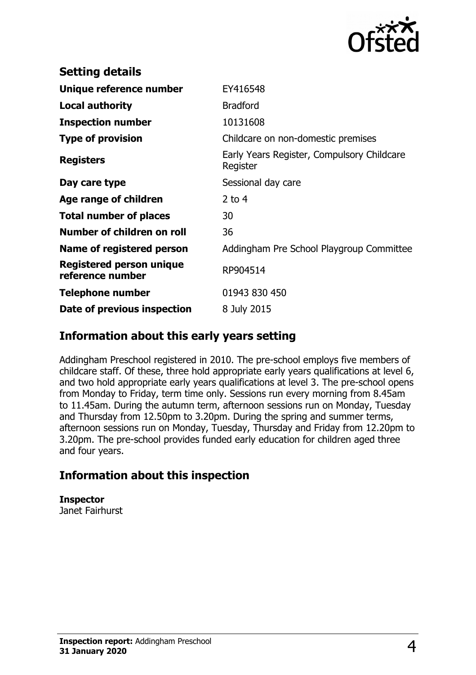

| EY416548                                               |
|--------------------------------------------------------|
| <b>Bradford</b>                                        |
| 10131608                                               |
| Childcare on non-domestic premises                     |
| Early Years Register, Compulsory Childcare<br>Register |
| Sessional day care                                     |
| 2 to $4$                                               |
| 30                                                     |
| 36                                                     |
| Addingham Pre School Playgroup Committee               |
| RP904514                                               |
| 01943 830 450                                          |
| 8 July 2015                                            |
|                                                        |

### **Information about this early years setting**

Addingham Preschool registered in 2010. The pre-school employs five members of childcare staff. Of these, three hold appropriate early years qualifications at level 6, and two hold appropriate early years qualifications at level 3. The pre-school opens from Monday to Friday, term time only. Sessions run every morning from 8.45am to 11.45am. During the autumn term, afternoon sessions run on Monday, Tuesday and Thursday from 12.50pm to 3.20pm. During the spring and summer terms, afternoon sessions run on Monday, Tuesday, Thursday and Friday from 12.20pm to 3.20pm. The pre-school provides funded early education for children aged three and four years.

# **Information about this inspection**

**Inspector** Janet Fairhurst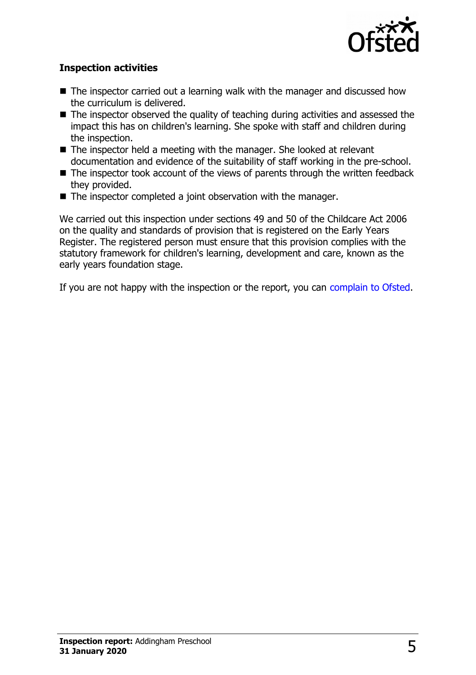

#### **Inspection activities**

- $\blacksquare$  The inspector carried out a learning walk with the manager and discussed how the curriculum is delivered.
- $\blacksquare$  The inspector observed the quality of teaching during activities and assessed the impact this has on children's learning. She spoke with staff and children during the inspection.
- $\blacksquare$  The inspector held a meeting with the manager. She looked at relevant documentation and evidence of the suitability of staff working in the pre-school.
- $\blacksquare$  The inspector took account of the views of parents through the written feedback they provided.
- $\blacksquare$  The inspector completed a joint observation with the manager.

We carried out this inspection under sections 49 and 50 of the Childcare Act 2006 on the quality and standards of provision that is registered on the Early Years Register. The registered person must ensure that this provision complies with the statutory framework for children's learning, development and care, known as the early years foundation stage.

If you are not happy with the inspection or the report, you can [complain to Ofsted.](http://www.gov.uk/complain-ofsted-report)